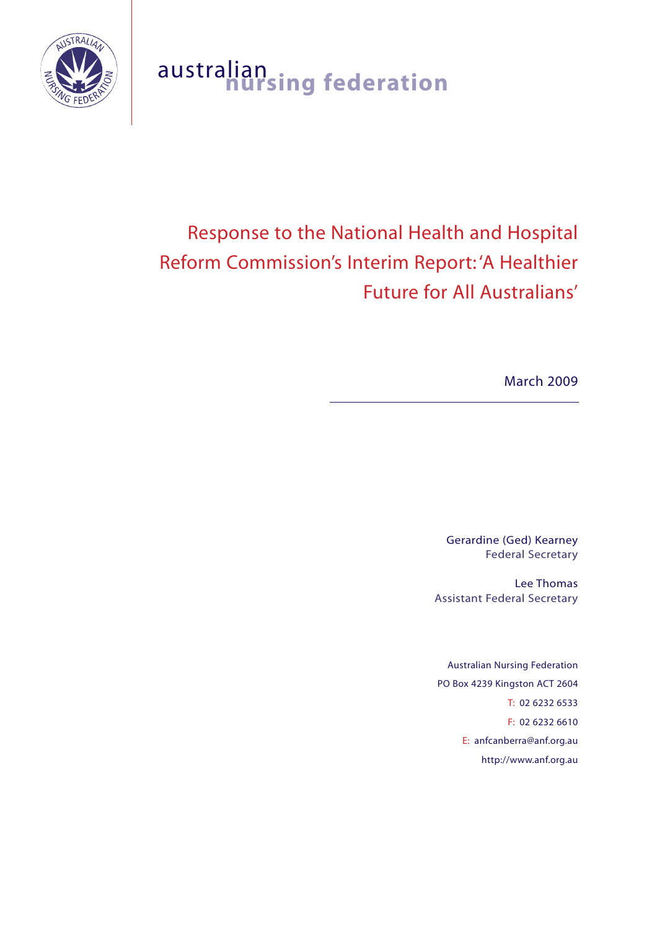

# australian **nursing federation**

# Response to the National Health and Hospital Reform Commission's Interim Report: 'A Healthier Future for All Australians'

March 2009

Gerardine (Ged) Kearney Federal Secretary

Lee Thomas Assistant Federal Secretary

Australian Nursing Federation PO Box 4239 Kingston ACT 2604 T: 02 6232 6533 F: 02 6232 6610 E: anfcanberra@anf.org.au http://www.anf.org.au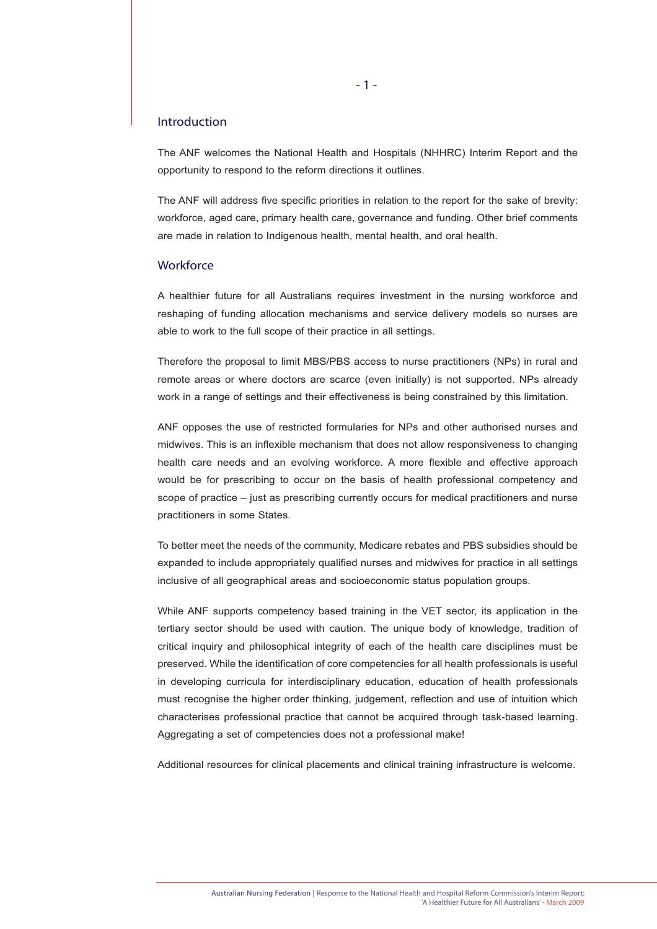# Introduction

The ANF welcomes the National Health and Hospitals (NHHRC) Interim Report and the opportunity to respond to the reform directions it outlines.

The ANF will address five specific priorities in relation to the report for the sake of brevity: workforce, aged care, primary health care, governance and funding. Other brief comments are made in relation to Indigenous health, mental health, and oral health.

# **Workforce**

A healthier future for all Australians requires investment in the nursing workforce and reshaping of funding allocation mechanisms and service delivery models so nurses are able to work to the full scope of their practice in all settings.

Therefore the proposal to limit MBS/PBS access to nurse practitioners (NPs) in rural and remote areas or where doctors are scarce (even initially) is not supported. NPs already work in a range of settings and their effectiveness is being constrained by this limitation.

ANF opposes the use of restricted formularies for NPs and other authorised nurses and midwives. This is an inflexible mechanism that does not allow responsiveness to changing health care needs and an evolving workforce. A more flexible and effective approach would be for prescribing to occur on the basis of health professional competency and scope of practice – just as prescribing currently occurs for medical practitioners and nurse practitioners in some States.

To better meet the needs of the community, Medicare rebates and PBS subsidies should be expanded to include appropriately qualified nurses and midwives for practice in all settings inclusive of all geographical areas and socioeconomic status population groups.

While ANF supports competency based training in the VET sector, its application in the tertiary sector should be used with caution. The unique body of knowledge, tradition of critical inquiry and philosophical integrity of each of the health care disciplines must be preserved. While the identification of core competencies for all health professionals is useful in developing curricula for interdisciplinary education, education of health professionals must recognise the higher order thinking, judgement, reflection and use of intuition which characterises professional practice that cannot be acquired through task-based learning. Aggregating a set of competencies does not a professional make!

Additional resources for clinical placements and clinical training infrastructure is welcome.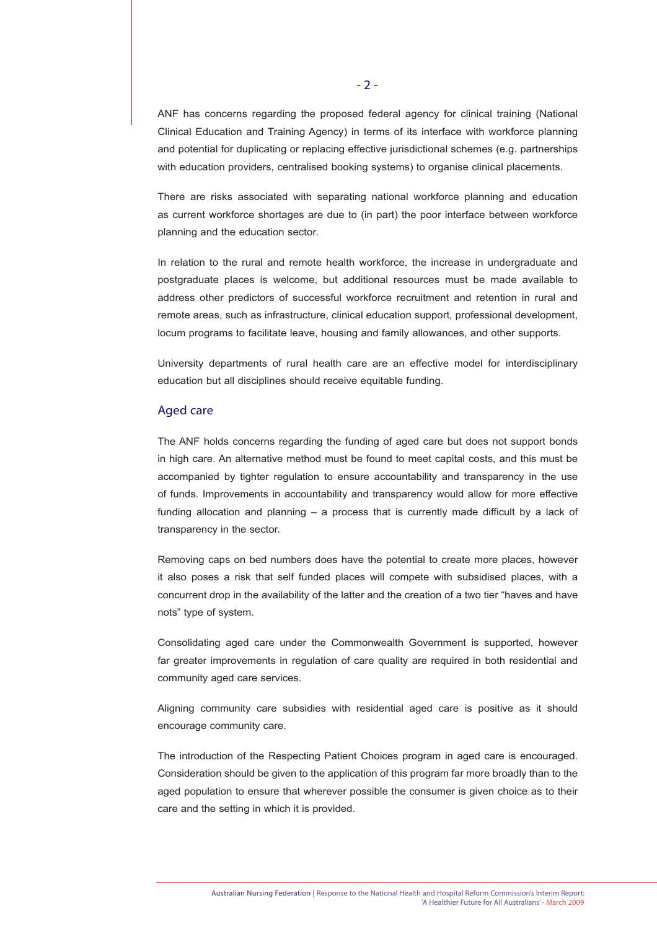ANF has concerns regarding the proposed federal agency for clinical training (National Clinical Education and Training Agency) in terms of its interface with workforce planning and potential for duplicating or replacing effective jurisdictional schemes (e.g. partnerships with education providers, centralised booking systems) to organise clinical placements.

There are risks associated with separating national workforce planning and education as current workforce shortages are due to (in part) the poor interface between workforce planning and the education sector.

In relation to the rural and remote health workforce, the increase in undergraduate and postgraduate places is welcome, but additional resources must be made available to address other predictors of successful workforce recruitment and retention in rural and remote areas, such as infrastructure, clinical education support, professional development, locum programs to facilitate leave, housing and family allowances, and other supports.

University departments of rural health care are an effective model for interdisciplinary education but all disciplines should receive equitable funding.

### Aged care

The ANF holds concerns regarding the funding of aged care but does not support bonds in high care. An alternative method must be found to meet capital costs, and this must be accompanied by tighter regulation to ensure accountability and transparency in the use of funds. Improvements in accountability and transparency would allow for more effective funding allocation and planning – a process that is currently made difficult by a lack of transparency in the sector.

Removing caps on bed numbers does have the potential to create more places, however it also poses a risk that self funded places will compete with subsidised places, with a concurrent drop in the availability of the latter and the creation of a two tier "haves and have nots" type of system.

Consolidating aged care under the Commonwealth Government is supported, however far greater improvements in regulation of care quality are required in both residential and community aged care services.

Aligning community care subsidies with residential aged care is positive as it should encourage community care.

The introduction of the Respecting Patient Choices program in aged care is encouraged. Consideration should be given to the application of this program far more broadly than to the aged population to ensure that wherever possible the consumer is given choice as to their care and the setting in which it is provided.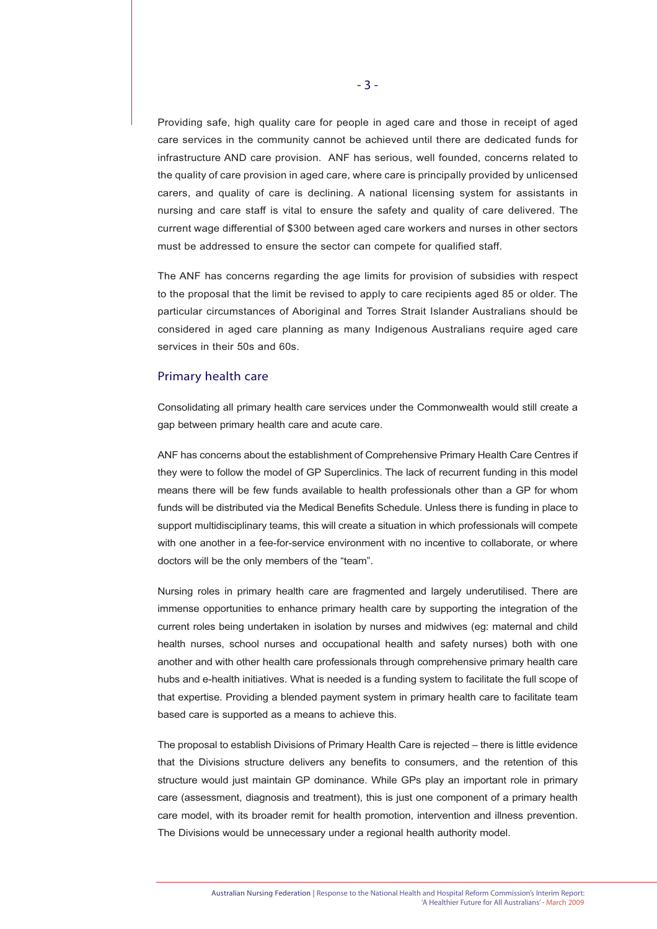Providing safe, high quality care for people in aged care and those in receipt of aged care services in the community cannot be achieved until there are dedicated funds for infrastructure AND care provision. ANF has serious, well founded, concerns related to the quality of care provision in aged care, where care is principally provided by unlicensed carers, and quality of care is declining. A national licensing system for assistants in nursing and care staff is vital to ensure the safety and quality of care delivered. The current wage differential of \$300 between aged care workers and nurses in other sectors must be addressed to ensure the sector can compete for qualified staff.

The ANF has concerns regarding the age limits for provision of subsidies with respect to the proposal that the limit be revised to apply to care recipients aged 85 or older. The particular circumstances of Aboriginal and Torres Strait Islander Australians should be considered in aged care planning as many Indigenous Australians require aged care services in their 50s and 60s.

### Primary health care

Consolidating all primary health care services under the Commonwealth would still create a gap between primary health care and acute care.

ANF has concerns about the establishment of Comprehensive Primary Health Care Centres if they were to follow the model of GP Superclinics. The lack of recurrent funding in this model means there will be few funds available to health professionals other than a GP for whom funds will be distributed via the Medical Benefits Schedule. Unless there is funding in place to support multidisciplinary teams, this will create a situation in which professionals will compete with one another in a fee-for-service environment with no incentive to collaborate, or where doctors will be the only members of the "team".

Nursing roles in primary health care are fragmented and largely underutilised. There are immense opportunities to enhance primary health care by supporting the integration of the current roles being undertaken in isolation by nurses and midwives (eg: maternal and child health nurses, school nurses and occupational health and safety nurses) both with one another and with other health care professionals through comprehensive primary health care hubs and e-health initiatives. What is needed is a funding system to facilitate the full scope of that expertise. Providing a blended payment system in primary health care to facilitate team based care is supported as a means to achieve this.

The proposal to establish Divisions of Primary Health Care is rejected – there is little evidence that the Divisions structure delivers any benefits to consumers, and the retention of this structure would just maintain GP dominance. While GPs play an important role in primary care (assessment, diagnosis and treatment), this is just one component of a primary health care model, with its broader remit for health promotion, intervention and illness prevention. The Divisions would be unnecessary under a regional health authority model.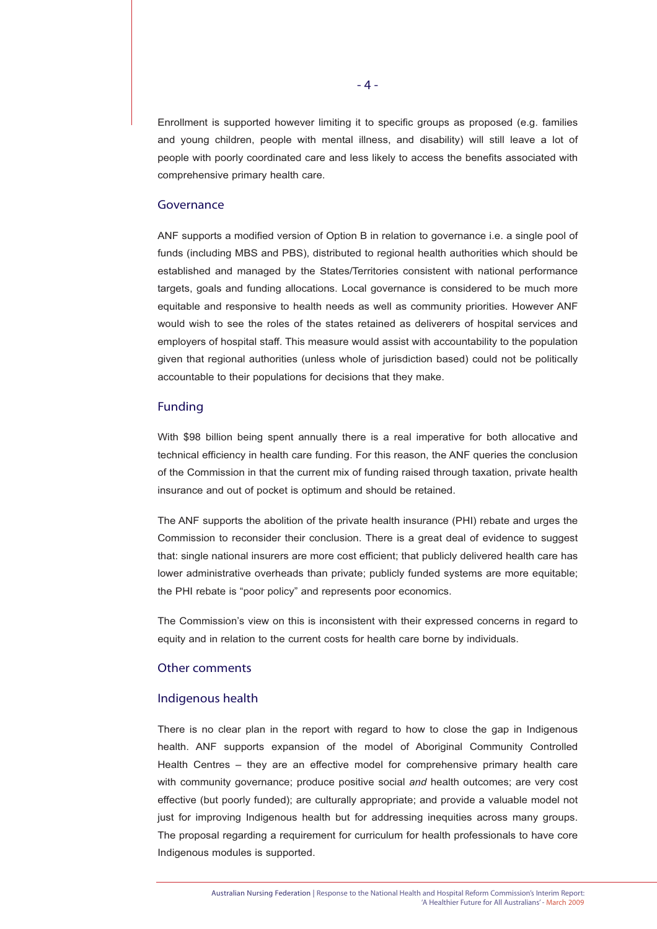Enrollment is supported however limiting it to specific groups as proposed (e.g. families and young children, people with mental illness, and disability) will still leave a lot of people with poorly coordinated care and less likely to access the benefits associated with comprehensive primary health care.

#### Governance

ANF supports a modified version of Option B in relation to governance i.e. a single pool of funds (including MBS and PBS), distributed to regional health authorities which should be established and managed by the States/Territories consistent with national performance targets, goals and funding allocations. Local governance is considered to be much more equitable and responsive to health needs as well as community priorities. However ANF would wish to see the roles of the states retained as deliverers of hospital services and employers of hospital staff. This measure would assist with accountability to the population given that regional authorities (unless whole of jurisdiction based) could not be politically accountable to their populations for decisions that they make.

# Funding

With \$98 billion being spent annually there is a real imperative for both allocative and technical efficiency in health care funding. For this reason, the ANF queries the conclusion of the Commission in that the current mix of funding raised through taxation, private health insurance and out of pocket is optimum and should be retained.

The ANF supports the abolition of the private health insurance (PHI) rebate and urges the Commission to reconsider their conclusion. There is a great deal of evidence to suggest that: single national insurers are more cost efficient; that publicly delivered health care has lower administrative overheads than private; publicly funded systems are more equitable; the PHI rebate is "poor policy" and represents poor economics.

The Commission's view on this is inconsistent with their expressed concerns in regard to equity and in relation to the current costs for health care borne by individuals.

#### Other comments

#### Indigenous health

There is no clear plan in the report with regard to how to close the gap in Indigenous health. ANF supports expansion of the model of Aboriginal Community Controlled Health Centres – they are an effective model for comprehensive primary health care with community governance; produce positive social *and* health outcomes; are very cost effective (but poorly funded); are culturally appropriate; and provide a valuable model not just for improving Indigenous health but for addressing inequities across many groups. The proposal regarding a requirement for curriculum for health professionals to have core Indigenous modules is supported.